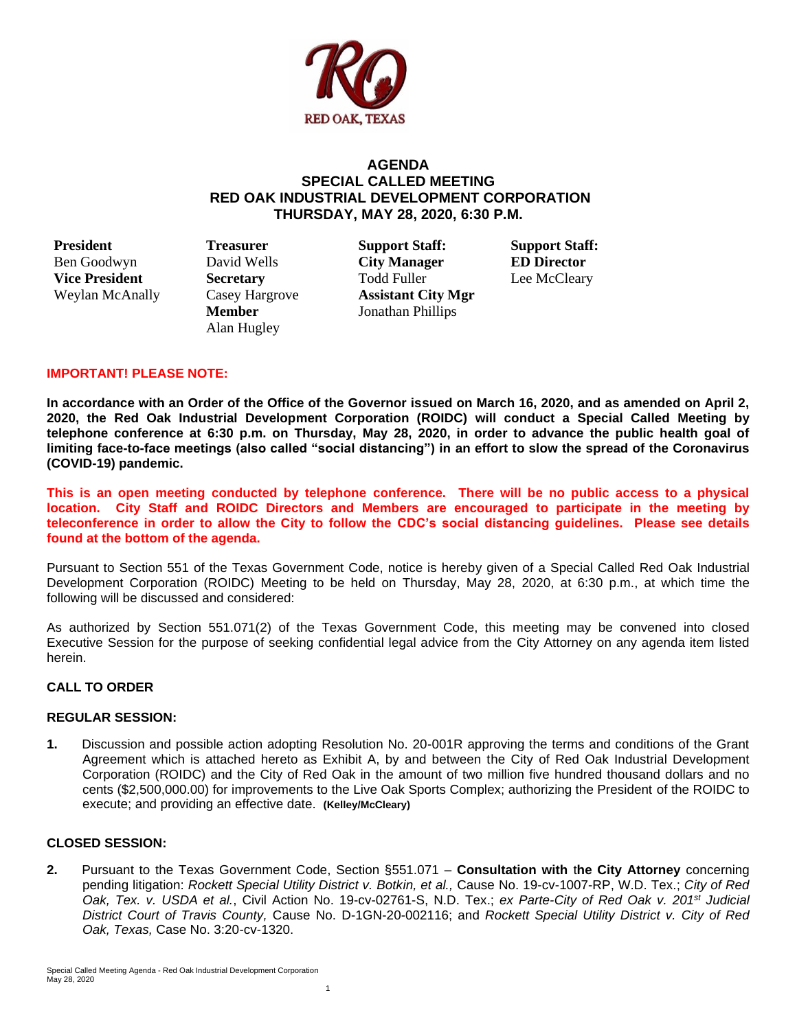

# **AGENDA SPECIAL CALLED MEETING RED OAK INDUSTRIAL DEVELOPMENT CORPORATION THURSDAY, MAY 28, 2020, 6:30 P.M.**

**President Treasurer Support Staff: Support Staff:**

Alan Hugley

Ben Goodwyn David Wells **City Manager ED Director Vice President Secretary Fold Fuller Lee McCleary** Weylan McAnally Casey Hargrove **Assistant City Mgr Member** Jonathan Phillips

## **IMPORTANT! PLEASE NOTE:**

**In accordance with an Order of the Office of the Governor issued on March 16, 2020, and as amended on April 2, 2020, the Red Oak Industrial Development Corporation (ROIDC) will conduct a Special Called Meeting by telephone conference at 6:30 p.m. on Thursday, May 28, 2020, in order to advance the public health goal of limiting face-to-face meetings (also called "social distancing") in an effort to slow the spread of the Coronavirus (COVID-19) pandemic.**

**This is an open meeting conducted by telephone conference. There will be no public access to a physical location. City Staff and ROIDC Directors and Members are encouraged to participate in the meeting by teleconference in order to allow the City to follow the CDC's social distancing guidelines. Please see details found at the bottom of the agenda.**

Pursuant to Section 551 of the Texas Government Code, notice is hereby given of a Special Called Red Oak Industrial Development Corporation (ROIDC) Meeting to be held on Thursday, May 28, 2020, at 6:30 p.m., at which time the following will be discussed and considered:

As authorized by Section 551.071(2) of the Texas Government Code, this meeting may be convened into closed Executive Session for the purpose of seeking confidential legal advice from the City Attorney on any agenda item listed herein.

## **CALL TO ORDER**

## **REGULAR SESSION:**

**1.** Discussion and possible action adopting Resolution No. 20-001R approving the terms and conditions of the Grant Agreement which is attached hereto as Exhibit A, by and between the City of Red Oak Industrial Development Corporation (ROIDC) and the City of Red Oak in the amount of two million five hundred thousand dollars and no cents (\$2,500,000.00) for improvements to the Live Oak Sports Complex; authorizing the President of the ROIDC to execute; and providing an effective date. **(Kelley/McCleary)** 

## **CLOSED SESSION:**

**2.** Pursuant to the Texas Government Code, Section §551.071 – **Consultation with** t**he City Attorney** concerning pending litigation: *Rockett Special Utility District v. Botkin, et al., Cause No. 19-cv-1007-RP, W.D. Tex.; City of Red Oak, Tex. v. USDA et al.*, Civil Action No. 19-cv-02761-S, N.D. Tex.; *ex Parte-City of Red Oak v. 201st Judicial District Court of Travis County,* Cause No. D-1GN-20-002116; and *Rockett Special Utility District v. City of Red Oak, Texas,* Case No. 3:20-cv-1320.